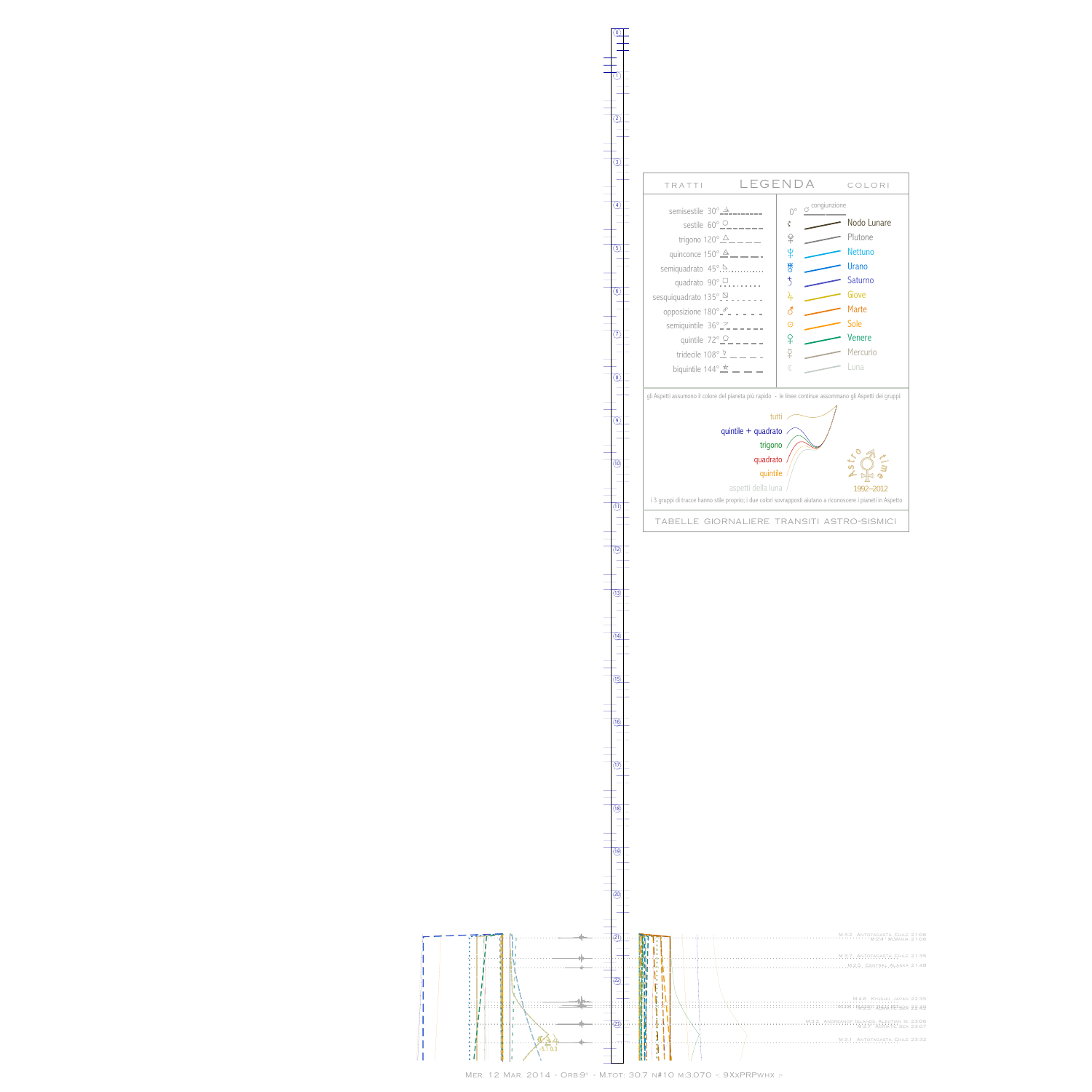$\begin{array}{c|c} 1 & 1 & 1 \\ 1 & 1 & 1 \\ 1 & 1 & 1 \\ \hline \end{array}$  $\|$   $\|$